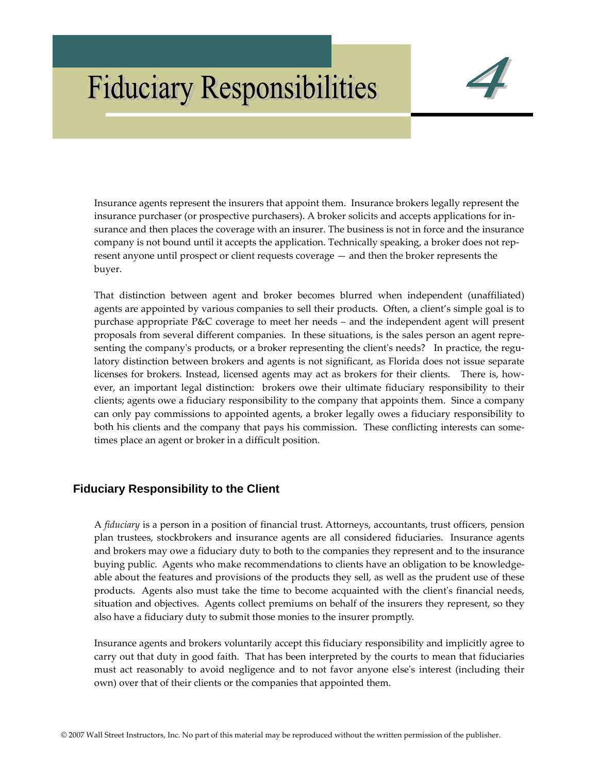# **Fiduciary Responsibilities**



Insurance agents represent the insurers that appoint them. Insurance brokers legally represent the insurance purchaser (or prospective purchasers). A broker solicits and accepts applications for in‐ surance and then places the coverage with an insurer. The business is not in force and the insurance company is not bound until it accepts the application. Technically speaking, a broker does not rep– resent anyone until prospect or client requests coverage — and then the broker represents the buyer.

That distinction between agent and broker becomes blurred when independent (unaffiliated) agents are appointed by various companies to sell their products. Often, a client's simple goal is to purchase appropriate P&C coverage to meet her needs – and the independent agent will present proposals from several different companies. In these situations, is the sales person an agent repre‐ senting the company's products, or a broker representing the client's needs? In practice, the regulatory distinction between brokers and agents is not significant, as Florida does not issue separate licenses for brokers. Instead, licensed agents may act as brokers for their clients. There is, however, an important legal distinction: brokers owe their ultimate fiduciary responsibility to their clients; agents owe a fiduciary responsibility to the company that appoints them. Since a company can only pay commissions to appointed agents, a broker legally owes a fiduciary responsibility to both his clients and the company that pays his commission. These conflicting interests can sometimes place an agent or broker in a difficult position.

# **Fiduciary Responsibility to the Client**

A *fiduciary* is a person in a position of financial trust. Attorneys, accountants, trust officers, pension plan trustees, stockbrokers and insurance agents are all considered fiduciaries. Insurance agents and brokers may owe a fiduciary duty to both to the companies they represent and to the insurance buying public. Agents who make recommendations to clients have an obligation to be knowledgeable about the features and provisions of the products they sell, as well as the prudent use of these products. Agents also must take the time to become acquainted with the client's financial needs, situation and objectives. Agents collect premiums on behalf of the insurers they represent, so they also have a fiduciary duty to submit those monies to the insurer promptly.

Insurance agents and brokers voluntarily accept this fiduciary responsibility and implicitly agree to carry out that duty in good faith. That has been interpreted by the courts to mean that fiduciaries must act reasonably to avoid negligence and to not favor anyone else's interest (including their own) over that of their clients or the companies that appointed them.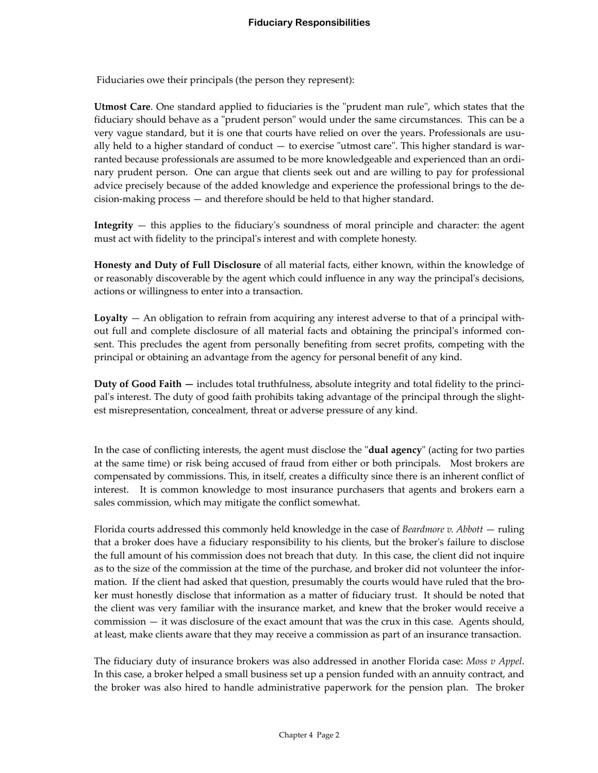Fiduciaries owe their principals (the person they represent):

**Utmost Care**. One standard applied to fiduciaries is the "prudent man rule", which states that the fiduciary should behave as a "prudent person" would under the same circumstances. This can be a very vague standard, but it is one that courts have relied on over the years. Professionals are usually held to a higher standard of conduct  $-$  to exercise "utmost care". This higher standard is warranted because professionals are assumed to be more knowledgeable and experienced than an ordinary prudent person. One can argue that clients seek out and are willing to pay for professional advice precisely because of the added knowledge and experience the professional brings to the de‐ cision‐making process — and therefore should be held to that higher standard.

**Integrity** — this applies to the fiduciary's soundness of moral principle and character: the agent must act with fidelity to the principalʹs interest and with complete honesty.

**Honesty and Duty of Full Disclosure** of all material facts, either known, within the knowledge of or reasonably discoverable by the agent which could influence in any way the principalʹs decisions, actions or willingness to enter into a transaction.

**Loyalty** — An obligation to refrain from acquiring any interest adverse to that of a principal with‐ out full and complete disclosure of all material facts and obtaining the principalʹs informed con‐ sent. This precludes the agent from personally benefiting from secret profits, competing with the principal or obtaining an advantage from the agency for personal benefit of any kind.

**Duty of Good Faith —** includes total truthfulness, absolute integrity and total fidelity to the princi‐ pal's interest. The duty of good faith prohibits taking advantage of the principal through the slightest misrepresentation, concealment, threat or adverse pressure of any kind.

In the case of conflicting interests, the agent must disclose the "**dual agency**" (acting for two parties at the same time) or risk being accused of fraud from either or both principals. Most brokers are compensated by commissions. This, in itself, creates a difficulty since there is an inherent conflict of interest. It is common knowledge to most insurance purchasers that agents and brokers earn a sales commission, which may mitigate the conflict somewhat.

Florida courts addressed this commonly held knowledge in the case of *Beardmore v. Abbott* — ruling that a broker does have a fiduciary responsibility to his clients, but the brokerʹs failure to disclose the full amount of his commission does not breach that duty. In this case, the client did not inquire as to the size of the commission at the time of the purchase, and broker did not volunteer the information. If the client had asked that question, presumably the courts would have ruled that the broker must honestly disclose that information as a matter of fiduciary trust. It should be noted that the client was very familiar with the insurance market, and knew that the broker would receive a commission — it was disclosure of the exact amount that was the crux in this case. Agents should, at least, make clients aware that they may receive a commission as part of an insurance transaction.

The fiduciary duty of insurance brokers was also addressed in another Florida case: *Moss v Appel*. In this case, a broker helped a small business set up a pension funded with an annuity contract, and the broker was also hired to handle administrative paperwork for the pension plan. The broker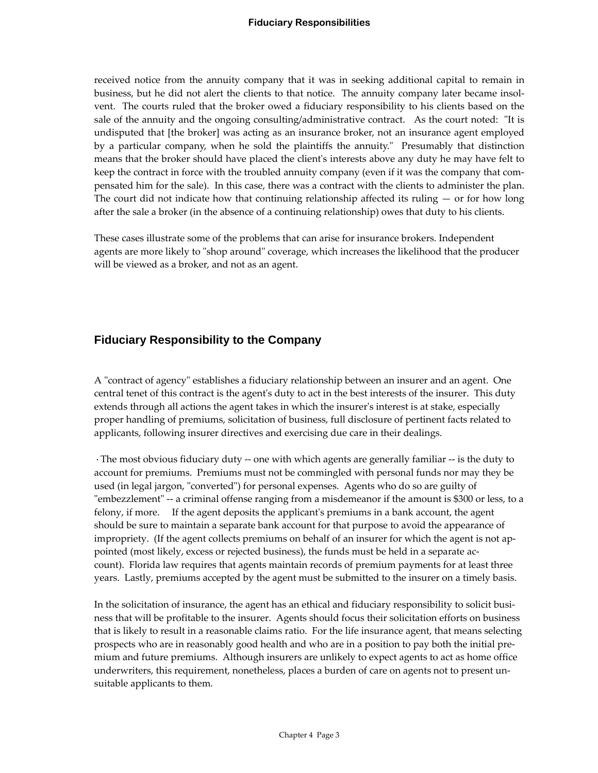### **Fiduciary Responsibilities**

received notice from the annuity company that it was in seeking additional capital to remain in business, but he did not alert the clients to that notice. The annuity company later became insolvent. The courts ruled that the broker owed a fiduciary responsibility to his clients based on the sale of the annuity and the ongoing consulting/administrative contract. As the court noted: "It is undisputed that [the broker] was acting as an insurance broker, not an insurance agent employed by a particular company, when he sold the plaintiffs the annuity. Presumably that distinction means that the broker should have placed the clientʹs interests above any duty he may have felt to keep the contract in force with the troubled annuity company (even if it was the company that compensated him for the sale). In this case, there was a contract with the clients to administer the plan. The court did not indicate how that continuing relationship affected its ruling  $-$  or for how long after the sale a broker (in the absence of a continuing relationship) owes that duty to his clients.

These cases illustrate some of the problems that can arise for insurance brokers. Independent agents are more likely to "shop around" coverage, which increases the likelihood that the producer will be viewed as a broker, and not as an agent.

# **Fiduciary Responsibility to the Company**

A "contract of agency" establishes a fiduciary relationship between an insurer and an agent. One central tenet of this contract is the agentʹs duty to act in the best interests of the insurer. This duty extends through all actions the agent takes in which the insurer's interest is at stake, especially proper handling of premiums, solicitation of business, full disclosure of pertinent facts related to applicants, following insurer directives and exercising due care in their dealings.

The most obvious fiduciary duty -- one with which agents are generally familiar -- is the duty to account for premiums. Premiums must not be commingled with personal funds nor may they be used (in legal jargon, "converted") for personal expenses. Agents who do so are guilty of "embezzlement" -- a criminal offense ranging from a misdemeanor if the amount is \$300 or less, to a felony, if more. If the agent deposits the applicant's premiums in a bank account, the agent should be sure to maintain a separate bank account for that purpose to avoid the appearance of impropriety. (If the agent collects premiums on behalf of an insurer for which the agent is not appointed (most likely, excess or rejected business), the funds must be held in a separate ac‐ count). Florida law requires that agents maintain records of premium payments for at least three years. Lastly, premiums accepted by the agent must be submitted to the insurer on a timely basis.

In the solicitation of insurance, the agent has an ethical and fiduciary responsibility to solicit business that will be profitable to the insurer. Agents should focus their solicitation efforts on business that is likely to result in a reasonable claims ratio. For the life insurance agent, that means selecting prospects who are in reasonably good health and who are in a position to pay both the initial premium and future premiums. Although insurers are unlikely to expect agents to act as home office underwriters, this requirement, nonetheless, places a burden of care on agents not to present un‐ suitable applicants to them.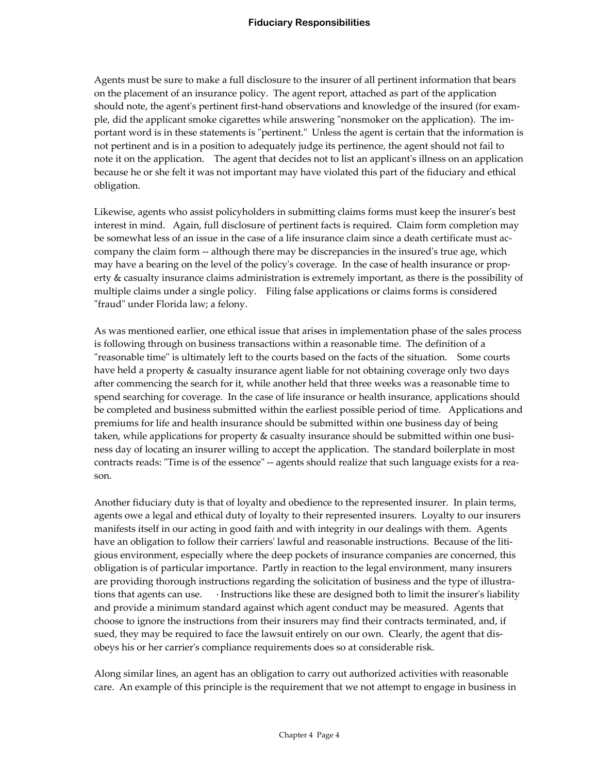Agents must be sure to make a full disclosure to the insurer of all pertinent information that bears on the placement of an insurance policy. The agent report, attached as part of the application should note, the agent's pertinent first-hand observations and knowledge of the insured (for example, did the applicant smoke cigarettes while answering "nonsmoker on the application). The important word is in these statements is "pertinent." Unless the agent is certain that the information is not pertinent and is in a position to adequately judge its pertinence, the agent should not fail to note it on the application. The agent that decides not to list an applicant's illness on an application because he or she felt it was not important may have violated this part of the fiduciary and ethical obligation.

Likewise, agents who assist policyholders in submitting claims forms must keep the insurer's best interest in mind. Again, full disclosure of pertinent facts is required. Claim form completion may be somewhat less of an issue in the case of a life insurance claim since a death certificate must accompany the claim form -- although there may be discrepancies in the insured's true age, which may have a bearing on the level of the policy's coverage. In the case of health insurance or property & casualty insurance claims administration is extremely important, as there is the possibility of multiple claims under a single policy. Filing false applications or claims forms is considered "fraud" under Florida law; a felony.

As was mentioned earlier, one ethical issue that arises in implementation phase of the sales process is following through on business transactions within a reasonable time. The definition of a ʺreasonable timeʺ is ultimately left to the courts based on the facts of the situation. Some courts have held a property & casualty insurance agent liable for not obtaining coverage only two days after commencing the search for it, while another held that three weeks was a reasonable time to spend searching for coverage. In the case of life insurance or health insurance, applications should be completed and business submitted within the earliest possible period of time. Applications and premiums for life and health insurance should be submitted within one business day of being taken, while applications for property & casualty insurance should be submitted within one business day of locating an insurer willing to accept the application. The standard boilerplate in most contracts reads: "Time is of the essence" -- agents should realize that such language exists for a reason.

Another fiduciary duty is that of loyalty and obedience to the represented insurer. In plain terms, agents owe a legal and ethical duty of loyalty to their represented insurers. Loyalty to our insurers manifests itself in our acting in good faith and with integrity in our dealings with them. Agents have an obligation to follow their carriers' lawful and reasonable instructions. Because of the litigious environment, especially where the deep pockets of insurance companies are concerned, this obligation is of particular importance. Partly in reaction to the legal environment, many insurers are providing thorough instructions regarding the solicitation of business and the type of illustra‐ tions that agents can use. Instructions like these are designed both to limit the insurer's liability and provide a minimum standard against which agent conduct may be measured. Agents that choose to ignore the instructions from their insurers may find their contracts terminated, and, if sued, they may be required to face the lawsuit entirely on our own. Clearly, the agent that dis‐ obeys his or her carrierʹs compliance requirements does so at considerable risk.

Along similar lines, an agent has an obligation to carry out authorized activities with reasonable care. An example of this principle is the requirement that we not attempt to engage in business in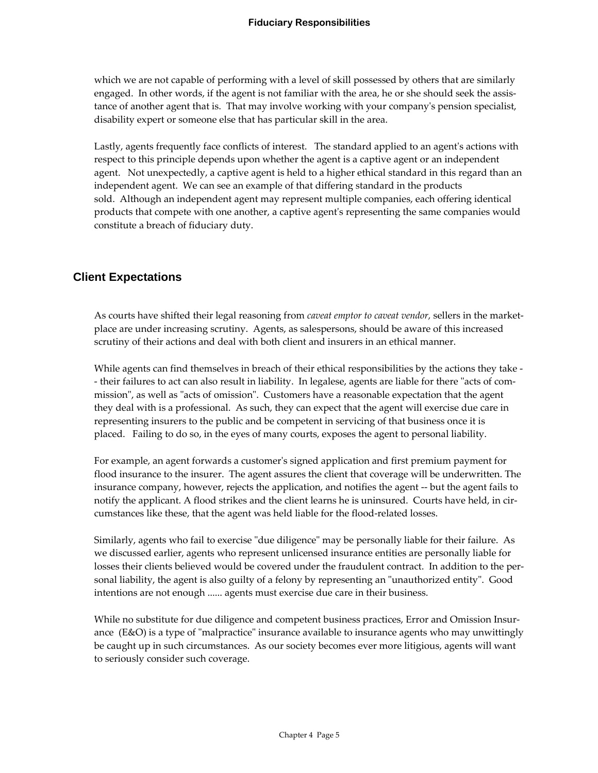which we are not capable of performing with a level of skill possessed by others that are similarly engaged. In other words, if the agent is not familiar with the area, he or she should seek the assistance of another agent that is. That may involve working with your companyʹs pension specialist, disability expert or someone else that has particular skill in the area.

Lastly, agents frequently face conflicts of interest. The standard applied to an agent's actions with respect to this principle depends upon whether the agent is a captive agent or an independent agent. Not unexpectedly, a captive agent is held to a higher ethical standard in this regard than an independent agent. We can see an example of that differing standard in the products sold. Although an independent agent may represent multiple companies, each offering identical products that compete with one another, a captive agentʹs representing the same companies would constitute a breach of fiduciary duty.

# **Client Expectations**

As courts have shifted their legal reasoning from *caveat emptor to caveat vendor,* sellers in the market‐ place are under increasing scrutiny. Agents, as salespersons, should be aware of this increased scrutiny of their actions and deal with both client and insurers in an ethical manner.

While agents can find themselves in breach of their ethical responsibilities by the actions they take ‐ - their failures to act can also result in liability. In legalese, agents are liable for there "acts of commission", as well as "acts of omission". Customers have a reasonable expectation that the agent they deal with is a professional. As such, they can expect that the agent will exercise due care in representing insurers to the public and be competent in servicing of that business once it is placed. Failing to do so, in the eyes of many courts, exposes the agent to personal liability.

For example, an agent forwards a customerʹs signed application and first premium payment for flood insurance to the insurer. The agent assures the client that coverage will be underwritten. The insurance company, however, rejects the application, and notifies the agent ‐‐ but the agent fails to notify the applicant. A flood strikes and the client learns he is uninsured. Courts have held, in circumstances like these, that the agent was held liable for the flood‐related losses.

Similarly, agents who fail to exercise "due diligence" may be personally liable for their failure. As we discussed earlier, agents who represent unlicensed insurance entities are personally liable for losses their clients believed would be covered under the fraudulent contract. In addition to the personal liability, the agent is also guilty of a felony by representing an "unauthorized entity". Good intentions are not enough ...... agents must exercise due care in their business.

While no substitute for due diligence and competent business practices, Error and Omission Insurance  $(E&O)$  is a type of "malpractice" insurance available to insurance agents who may unwittingly be caught up in such circumstances. As our society becomes ever more litigious, agents will want to seriously consider such coverage.